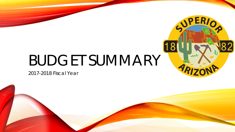# BUDGET SUMMARY

2017-2018 Fiscal Year



SOPERIO

 $\sim$ 

ARIT

|18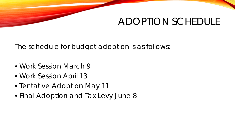### ADOPTION SCHEDULE

The schedule for budget adoption is as follows:

- Work Session March 9
- Work Session April 13
- Tentative Adoption May 11
- Final Adoption and Tax Levy June 8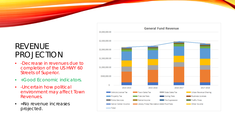### REVENUE PROJECTION

- -Decrease in revenues due to completion of the US HWY 60 Streets of Superior.
- +Good Economic indicators.
- -Uncertain how political environment may affect Town Revenues.
- = No revenue increases projected.

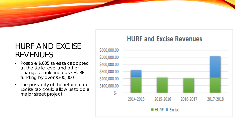### HURF AND EXCISE REVENUES

- Possible \$.005 sales tax adopted at the state level and other changes could increase HURF funding by over \$300,000
- The possibility of the return of our Excise tax could allow us to do a major street project.

#### \$600,000.00 \$500,000.00 \$400,000.00 \$300,000.00 \$200,000.00 \$100,000.00 \$. 2014-2015 2015-2016 2016-2017 2017-2018 **HURF Excise**

### **HURF and Excise Revenues**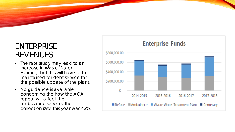### ENTERPRISE REVENUES

- The rate study may lead to an increase in Waste Water Funding, but this will have to be maintained for debt service for the possible update of the plant.
- No guidance is available concerning the how the ACA repeal will affect the ambulance service. The collection rate this year was 42%.

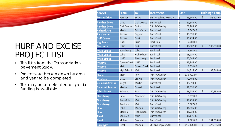### HURF AND EXCISE PROJECT LIST

- This list is from the Transportation pavement Study.
- Projects are broken down by area and year to be completed.
- This may be accelerated of special funding is available.

| <b>Street</b>         | From        | lΤo                   | Treatment                | Cost |            |                    | <b>Bidding Group</b> |
|-----------------------|-------------|-----------------------|--------------------------|------|------------|--------------------|----------------------|
| <b>Sunset Drive</b>   | Panther     | SR177                 | Slurry Seal and Hump Fix | \$   | 93,503.00  | $\frac{3}{2}$      | 93,503.00            |
| <b>Panther Drive</b>  | <b>US60</b> | Golf Course           | Slurry Seal              | \$   | 60,185.00  |                    |                      |
| <b>Panther Drive</b>  | Golf Course | Smith                 | Thin AC Overlay          | \$   | 60,185.00  |                    |                      |
| <b>Richard Ave</b>    | Marion      | Palo Verde            | Slurry Seal              | \$   | 8,067.00   |                    |                      |
| Palo Verde            | Richard     | Saguaro               | Slurry Seal              | \$   | 13,097.00  |                    |                      |
| <b>Golf Course</b>    | Richard     | Quail                 | Slurry Seal              | \$   | 29,494.00  |                    |                      |
| <b>Highlands</b>      | Quail       | <b>Bush</b>           | Crack Seal               | \$   | 2,200.00   |                    |                      |
| Mesquite              | US60        | End                   | Slurry Seal              | \$   | 15,382.00  | $\boldsymbol{\xi}$ | 188,610.00           |
| Main Street           | Stansberry  | Lobb                  | Sand Seal                | \$   | 9,688.00   |                    |                      |
| <b>Main Street</b>    | Lobb        | High School           | Sand Seal                | \$   | 29,597.00  |                    |                      |
| <b>Main Street</b>    | US60        | Stansberry            | Sand Seal                | \$   | 95,704.00  |                    |                      |
| Magma                 | Queen Creek | <b>US60</b>           | Sand Seal                | \$   | 11,944.00  |                    |                      |
| <b>Magma</b>          | Main        | Queen Creek Sand Seal |                          | \$   | 6,516.00   |                    |                      |
| Magma                 | High School | Main                  | Sand Seal                | \$   | 44,915.00  | \$                 | 198,364.00           |
| <b>Stone</b>          | Main        | Ray                   | Thin AC Overlay          | \$   | 110,901.00 |                    |                      |
| Western               | <b>US60</b> | Brown                 | Thin AC Overlay          | \$   | 42,484.00  |                    |                      |
| <b>Belmont Avenue</b> | Wight       | Martin                | Slurry Seal              | \$   | 19,398.00  |                    |                      |
| <b>Belmont Avenue</b> | Martin      | Sunset                | Sand Seal                | \$   | 11,652.00  |                    |                      |
| <b>Gibbs Street</b>   | Belmont     | Ray                   | Thin AC Overlay          | \$   | 66,554.00  | \$                 | 250,989.00           |
| Stansberry            | Lime        | Newmont               | Thin AC Overlay          | \$   | 8,679.00   |                    |                      |
| <b>Stansberry</b>     | Santa Rita  | Main                  | Thin AC Overlay          | \$   | 10,450.00  |                    |                      |
| Stansberry            | San Juan    | Main                  | Slurry Seal              | \$   | 3,387.00   |                    |                      |
| Lime                  | Lobb        | Magma                 | Thin AC Overlay          | \$   | 46,936.00  |                    |                      |
| Lime                  | Magma       | High School           | Thin AC Overlay          | \$   | 15,238.00  |                    |                      |
| Pinal                 | San Juan    | Main                  | Slurry Seal              | \$   | 15,171.00  |                    |                      |
| Pinal                 | Molina      | San Juan              | Slurry Seal              | \$   | 1,803.00   | \$                 | 101,664.00           |
| Porphyry              | Pinal       | Magma                 | Mill and Replace AC      | \$   | 426,095.00 | \$                 | 426,095.00           |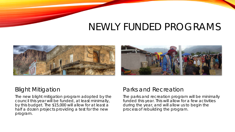### NEWLY FUNDED PROGRAMS



#### Blight Mitigation

The new blight mitigation program adopted by the council this year will be funded, at least minimally, by this budget. The \$15,000 will allow for at least a half a dozen projects providing a test for the new program.

### Parks and Recreation

The parks and recreation program will be minimally funded this year. This will allow for a few activities during the year, and will allow us to begin the process of rebuilding the program.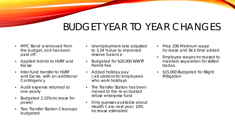## BUDGET YEAR TO YEAR CHANGES

- MPC Bond is removed from the budget, as it has been paid off.
- Applied Admin to HURF and Excise
- Inter-fund transfer to HURF and Excise, with an additional **Contingency**
- Audit expense returned to one yearly
- Budgeted 2.15% increase for power
- **Two Transfer Station Cleanups** budgeted
- Unemployment rate adjusted to 3.24 % due to improved reserve balance
- Budgeted for \$20,000 WWTP Permit Fee
- Added holiday pay calculations for employees who work holidays
- The Transfer Station has been moved to the re-activated refuse enterprise fund
- Only quesses available about Health Care next year. 10% increase estimated
- Prop 206 Minimum wage increase and Sick time added
- Employee wages increased to maintain separation for skilled trades.
- \$15,000 Budgeted for Blight **Mitigation**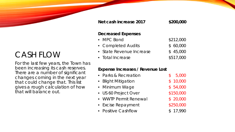#### **Net cash increase 2017 \$200,000**

#### **Decreased Expenses**

| $\bullet$ MPC Bond       | \$212,000 |
|--------------------------|-----------|
| • Completed Audits       | \$60,000  |
| • State Revenue Increase | \$45,000  |
| • Total Increase         | \$517,000 |

#### **Expense Increases / Revenue Lost**

| • Parks & Recreation  | 5,000     |
|-----------------------|-----------|
| • Blight Mitigation   | \$10,000  |
| • Minimum Wage        | \$54,000  |
| • US 60 Project Over  | \$150,000 |
| • WWTP Permit Renewal | \$20,000  |
| • Excise Repayment    | \$250,000 |
| • Positive Cashflow   | \$17,990  |

### CASH FLOW

For the last few years, the Town has been increasing its cash reserves. There are a number of significant changes coming in the next year that could change that. This list gives a rough calculation of how that will balance out.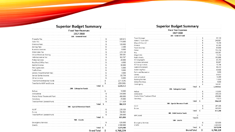| <b>Superior Budget Summary</b>    |     |            |
|-----------------------------------|-----|------------|
| <b>Fiscal Year Revenues</b>       |     |            |
| 2017-2018                         |     |            |
| 100 - General Fund                |     |            |
| Property Tax                      | \$  | 589,872    |
| Sales Tax                         | \$  | 715,000    |
| <b>Francise Fees</b>              | \$  | 120,000    |
| <b>Zoning Fees</b>                | \$  | 2,400      |
| <b>Business Licenses</b>          | \$  | 8,000      |
| <b>State Sales Tax</b>            | \$  | 279,728    |
| Urban Revenue sharing             | \$  | 369,381    |
| Vehicle License Tax               | \$  | 162,767    |
| Police Services                   | \$  | 20,000     |
| Rec/Pool/Office Fees              | \$  | 4,000      |
| Rental Income                     | \$  | 30,000     |
| Fire Supression                   | \$  | 5,000      |
| <b>Traffic Fines</b>              | \$  | 9,000      |
| Library Fines/Internet Fees       | \$  | 4,000      |
| Senior Center Income              | \$  | 65,794     |
| Other Income                      | \$  | 6,000      |
| Transfer to Enterprise Funds      | \$  | (211, 529) |
| Transfer to HURF and Excise       | \$  | (250,000)  |
| Total \$                          |     | 1,929,412  |
| 200 - Enterprise Funds            |     |            |
| Refuse                            | \$  | 10,000     |
| Ambulance                         | \$  | 340,000    |
| Waste Water Treatment Plant       | \$  | 400,000    |
| Cemetary                          | \$  | 25,000     |
| <b>Transter from General Fund</b> | \$  | 211,529    |
| Total                             | -\$ | 986,529    |
| 300 - Special Revenue Funds       |     |            |
| <b>HURF</b>                       | \$  | 220,326    |
| Excise                            | \$  | 356,962    |
| <b>Transferfrom General Fund</b>  | \$  | 250,000    |
| Total \$                          |     | 827,288    |
| 500 - Grants                      |     |            |
| <b>Emergency Services</b>         | \$  | 525,000    |
| Grants                            | £   | 2,500,000  |
| Total \$                          |     | 3,025,000  |
| <b>Grand Total</b>                | s   | 6.768.229  |

**Fiscal Year Expenses** 2017-2018 100 - General Fund 89,108 Town Manager 240,507 Admin / Town Clerk Mayor & Council 16,450 60,365 Finance Town Attorney 63,000 755,294 Police 100,357 Fire £. 19,374 Magistrate 152,885 Public Works 46,210 SC Congregate  $\sqrt{3}$ 50,067 SC Home Delivered 16,744 SC Transportation 36,412 Code Enforcement 40,506 Swimming Pool  $5,000$ Parks and Recreation 65,692 Library 14,259 Animal Control 13,000 **Building Rentals** 4,000 School Purchase 140,181 Contingency - 5 1,929,412 Total - \$ 200 - Enterprise Funds 112,630 Refuse 394,400 Ambulance -96 Waste Water Treatment Plan 459,866 19,633 Cemetary  $\sqrt{3}$ 986,529 Total -\$ 300 - Special Revenue Funds 257,305 HURF 569,983 Excise -96 Total 827,288 - S 400 - Debt Service Funds MPC Bond Total \$ 500 - Grants 525,000 **Emergency Services** -5 2,500,000 Grants - \$  $\mathbf{s}$ 3,025,000 Total **Grand Total** 6,768,229 -\$

**Superior Budget Summary** 

6,768,229